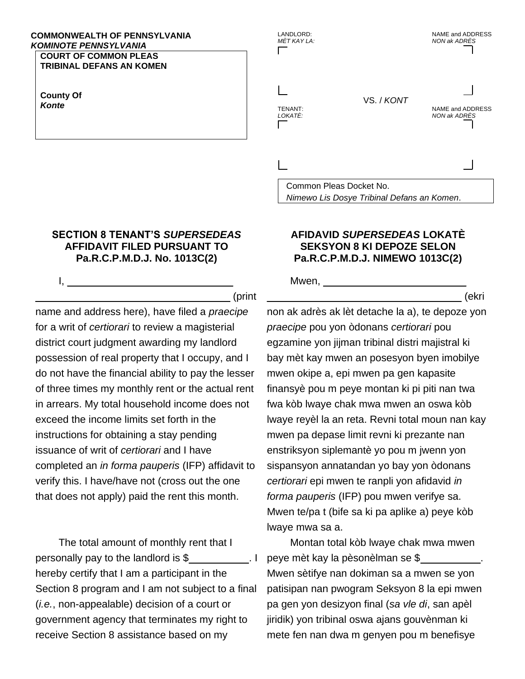#### **COMMONWEALTH OF PENNSYLVANIA KOMINOTE PENNSYLVANIA**

**COURT OF COMMON PLEAS TRIBINAL DEFANS AN KOMEN** 

**County Of** Konte

 $\mathbf{L}$ 

### **SECTION 8 TENANT'S SUPERSEDEAS** AFFIDAVIT FILED PURSUANT TO Pa.R.C.P.M.D.J. No. 1013C(2)

(print

name and address here), have filed a *praecipe* for a writ of *certiorari* to review a magisterial district court judgment awarding my landlord possession of real property that I occupy, and I do not have the financial ability to pay the lesser of three times my monthly rent or the actual rent in arrears. My total household income does not exceed the income limits set forth in the instructions for obtaining a stay pending issuance of writ of *certiorari* and I have completed an in forma pauperis (IFP) affidavit to verify this. I have/have not (cross out the one that does not apply) paid the rent this month.

The total amount of monthly rent that I personally pay to the landlord is  $\frac{1}{2}$  \_\_\_\_\_\_\_\_\_\_\_\_\_\_\_. hereby certify that I am a participant in the Section 8 program and I am not subject to a final (*i.e.*, non-appealable) decision of a court or government agency that terminates my right to receive Section 8 assistance based on my

# LANDLORD: NAME and ADDRESS MÈT KAY LA: **NON ak ADRÈS** VS. / KONT TENANT: NAME and ADDRESS LOKATÈ: **NON ak ADRÈS**

Common Pleas Docket No. Nimewo Lis Dosye Tribinal Defans an Komen.

## **AFIDAVID SUPERSEDEAS LOKATE SEKSYON 8 KI DEPOZE SELON** Pa.R.C.P.M.D.J. NIMEWO 1013C(2)

(ekri

Mwen,

non ak adrès ak lèt detache la a), te depoze yon praecipe pou yon òdonans certiorari pou egzamine yon jijman tribinal distri majistral ki bay mèt kay mwen an posesyon byen imobilye mwen okipe a, epi mwen pa gen kapasite finansyè pou m peye montan ki pi piti nan twa fwa kòb lwaye chak mwa mwen an oswa kòb Iwaye reyèl la an reta. Revni total moun nan kay mwen pa depase limit revni ki prezante nan enstriksyon siplemantè yo pou m jwenn yon sispansyon annatandan yo bay yon òdonans certiorari epi mwen te ranpli yon afidavid in *forma pauperis* (IFP) pou mwen verifye sa. Mwen te/pa t (bife sa ki pa aplike a) peye kòb Iwaye mwa sa a.

Montan total kòb Iwaye chak mwa mwen peye mèt kay la pèsonèlman se \$ Mwen sètifye nan dokiman sa a mwen se yon patisipan nan pwogram Seksyon 8 la epi mwen pa gen yon desizyon final (sa vle di, san apèl jiridik) yon tribinal oswa ajans gouvènman ki mete fen nan dwa m genyen pou m benefisye